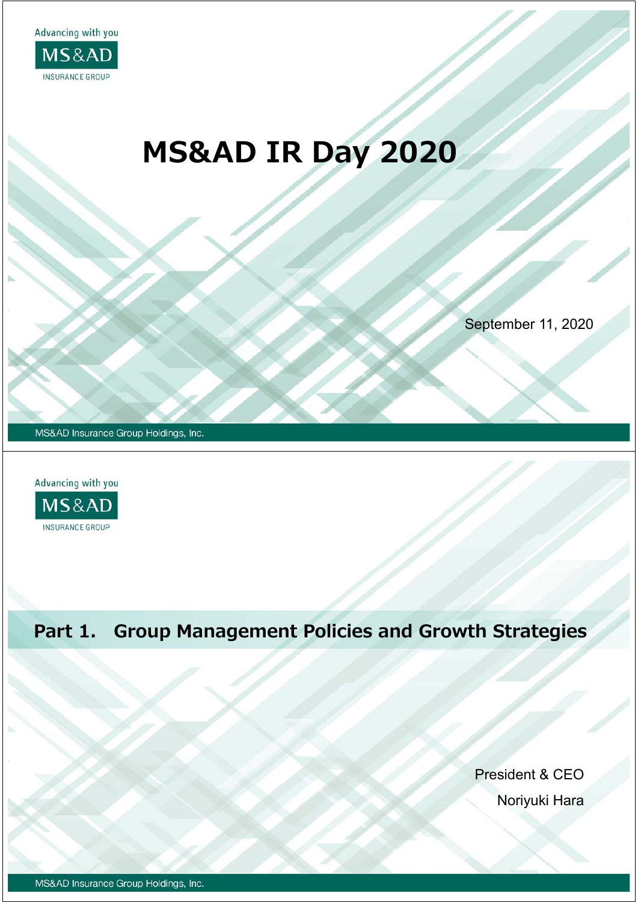

# **MS&AD IR Day 2020**

September 11, 2020

MS&AD Insurance Group Holdings, Inc.



# **Part 1. Group Management Policies and Growth Strategies**

President & CEO Noriyuki Hara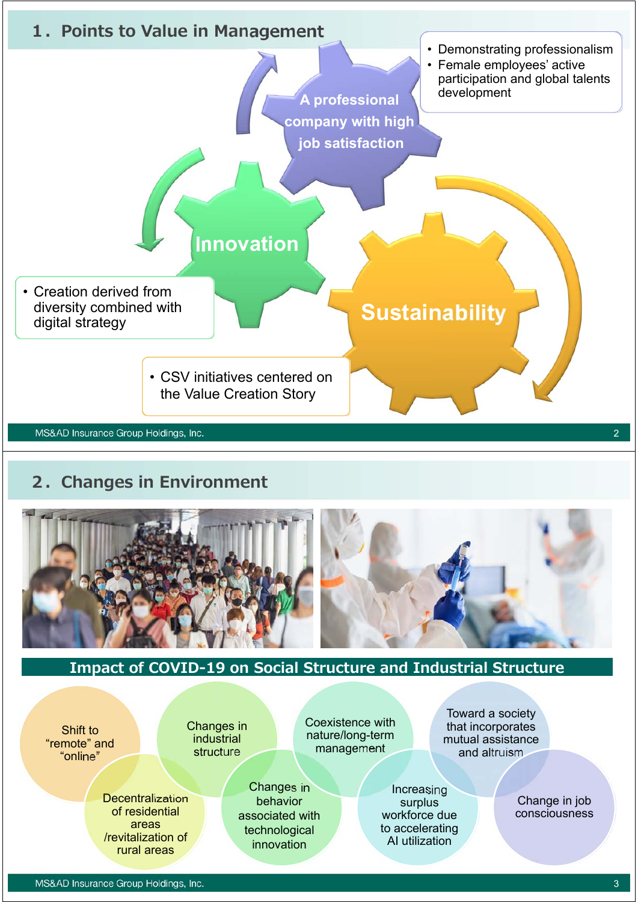

#### **2.Changes in Environment**



#### **Impact of COVID-19 on Social Structure and Industrial Structure**

Changes in behavior associated with technological innovation

Shift to "remote" and "online"

Changes in industrial structure

**Decentralization** of residential areas /revitalization of rural areas

Coexistence with nature/long-term management

Toward a society that incorporates mutual assistance and altruism

Increasing surplus workforce due to accelerating AI utilization

Change in job consciousness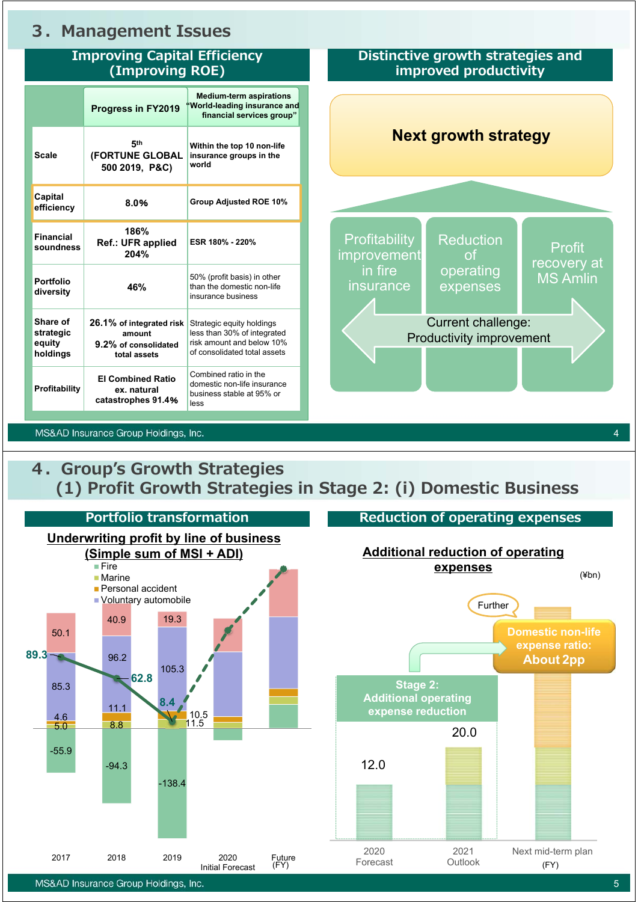#### **3.Management Issues**

#### **Improving Capital Efficiency (Improving ROE) Distinctive growth strategies and improved productivity Progress in FY2019 Scale 5th (FORTUNE GLOBAL 500 2019, P&C) Within the top 10 non-life insurance groups in the world Capital efficiency 8.0**% **Group Adjusted ROE 10% Financial soundness 186% Ref.: UFR applied 204% ESR 180% - 220% Portfolio diversity 46%** 50% (profit basis) in other than the domestic non-life insurance business **Share of strategic equity holdings 26.1% of integrated risk amount 9.2% of consolidated total assets** Strategic equity holdings less than 30% of integrated risk amount and below 10% of consolidated total assets **Profitability EI Combined Ratio ex. natural catastrophes 91.4**% Combined ratio in the domestic non-life insurance business stable at 95% or less **Profitability** improvement in fire insurance Reduction of operating expenses Profit recovery at MS Amlin Current challenge: Productivity improvement **Next growth strategy Medium-term aspirations "World-leading insurance and financial services group"**

MS&AD Insurance Group Holdings, Inc.

#### **4.Group's Growth Strategies (1) Profit Growth Strategies in Stage 2: (i) Domestic Business**

4

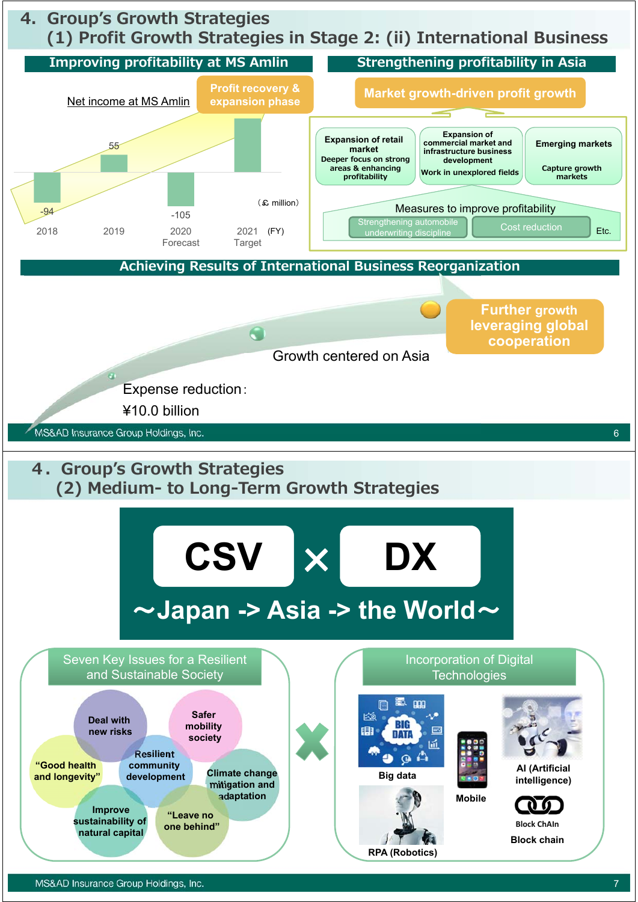# **4.Group's Growth Strategies (1) Profit Growth Strategies in Stage 2: (ii) International Business**

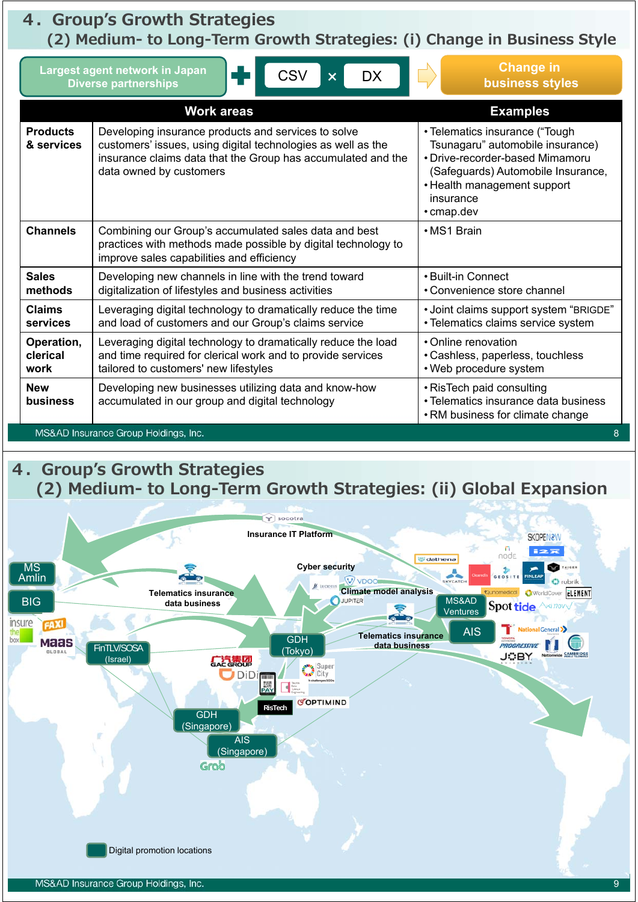## **4.Group's Growth Strategies**

**(2) Medium- to Long-Term Growth Strategies: (i) Change in Business Style**

| <b>Change in</b><br>Largest agent network in Japan<br><b>CSV</b><br><b>DX</b><br>$\boldsymbol{\mathsf{x}}$<br><b>business styles</b><br><b>Diverse partnerships</b> |                                                                                                                                                                                                                |                                                                                                                                                                                                       |
|---------------------------------------------------------------------------------------------------------------------------------------------------------------------|----------------------------------------------------------------------------------------------------------------------------------------------------------------------------------------------------------------|-------------------------------------------------------------------------------------------------------------------------------------------------------------------------------------------------------|
| <b>Work areas</b>                                                                                                                                                   |                                                                                                                                                                                                                | <b>Examples</b>                                                                                                                                                                                       |
| <b>Products</b><br>& services                                                                                                                                       | Developing insurance products and services to solve<br>customers' issues, using digital technologies as well as the<br>insurance claims data that the Group has accumulated and the<br>data owned by customers | • Telematics insurance ("Tough<br>Tsunagaru" automobile insurance)<br>• Drive-recorder-based Mimamoru<br>(Safeguards) Automobile Insurance,<br>• Health management support<br>insurance<br>• cmap.dev |
| <b>Channels</b>                                                                                                                                                     | Combining our Group's accumulated sales data and best<br>practices with methods made possible by digital technology to<br>improve sales capabilities and efficiency                                            | • MS1 Brain                                                                                                                                                                                           |
| <b>Sales</b><br>methods                                                                                                                                             | Developing new channels in line with the trend toward<br>digitalization of lifestyles and business activities                                                                                                  | • Built-in Connect<br>• Convenience store channel                                                                                                                                                     |
| <b>Claims</b><br>services                                                                                                                                           | Leveraging digital technology to dramatically reduce the time<br>and load of customers and our Group's claims service                                                                                          | • Joint claims support system "BRIGDE"<br>• Telematics claims service system                                                                                                                          |
| Operation,<br>clerical<br>work                                                                                                                                      | Leveraging digital technology to dramatically reduce the load<br>and time required for clerical work and to provide services<br>tailored to customers' new lifestyles                                          | • Online renovation<br>• Cashless, paperless, touchless<br>• Web procedure system                                                                                                                     |
| <b>New</b><br><b>business</b>                                                                                                                                       | Developing new businesses utilizing data and know-how<br>accumulated in our group and digital technology                                                                                                       | • RisTech paid consulting<br>• Telematics insurance data business<br>• RM business for climate change                                                                                                 |
| MS&AD Insurance Group Holdings, Inc.<br>8                                                                                                                           |                                                                                                                                                                                                                |                                                                                                                                                                                                       |

## **4.Group's Growth Strategies (2) Medium- to Long-Term Growth Strategies: (ii) Global Expansion**

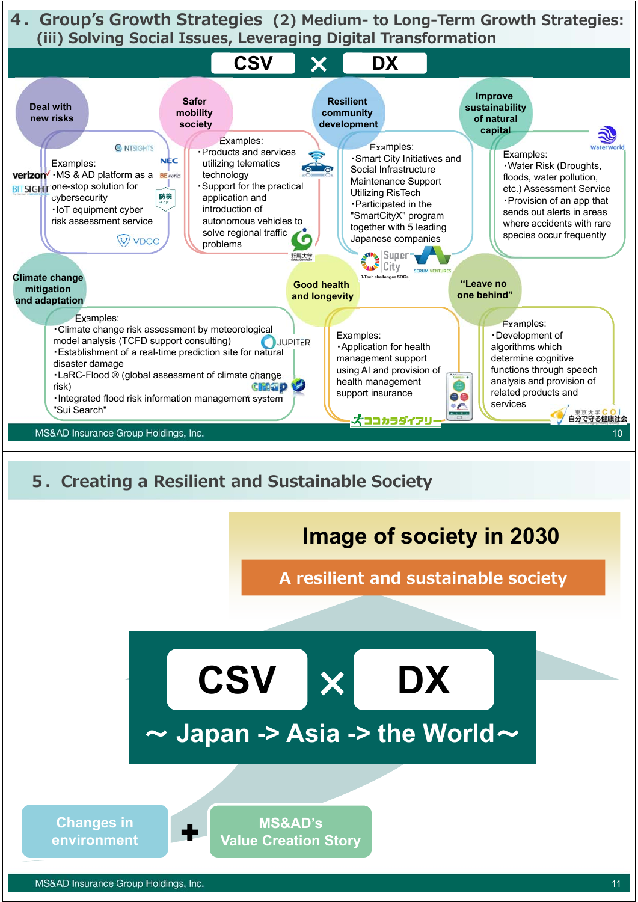**4.Group's Growth Strategies (2) Medium- to Long-Term Growth Strategies: (iii) Solving Social Issues, Leveraging Digital Transformation**



**MS&AD's Value Creation Story**

**Changes in environment**